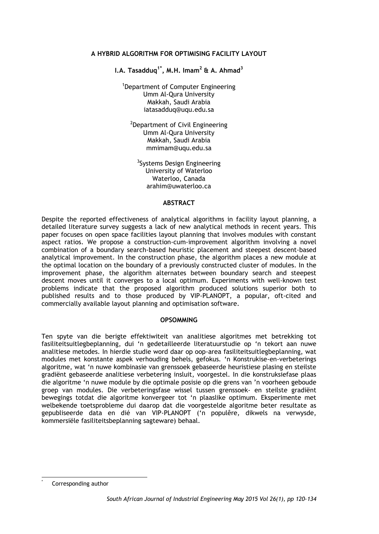### **A HYBRID ALGORITHM FOR OPTIMISING FACILITY LAYOUT**

**I.A. Tasadduq1[\\*](#page-0-0) , M.H. Imam2 & A. Ahmad<sup>3</sup>**

1 Department of Computer Engineering Umm Al-Qura University Makkah, Saudi Arabia iatasadduq@uqu.edu.sa

<sup>2</sup>Department of Civil Engineering Umm Al-Qura University Makkah, Saudi Arabia mmimam@uqu.edu.sa

<sup>3</sup>Systems Design Engineering University of Waterloo Waterloo, Canada arahim@uwaterloo.ca

## **ABSTRACT**

Despite the reported effectiveness of analytical algorithms in facility layout planning, a detailed literature survey suggests a lack of new analytical methods in recent years. This paper focuses on open space facilities layout planning that involves modules with constant aspect ratios. We propose a construction-cum-improvement algorithm involving a novel combination of a boundary search-based heuristic placement and steepest descent-based analytical improvement. In the construction phase, the algorithm places a new module at the optimal location on the boundary of a previously constructed cluster of modules. In the improvement phase, the algorithm alternates between boundary search and steepest descent moves until it converges to a local optimum. Experiments with well-known test problems indicate that the proposed algorithm produced solutions superior both to published results and to those produced by VIP-PLANOPT, a popular, oft-cited and commercially available layout planning and optimisation software.

#### **OPSOMMING**

Ten spyte van die berigte effektiwiteit van analitiese algoritmes met betrekking tot fasiliteitsuitlegbeplanning, dui 'n gedetailleerde literatuurstudie op 'n tekort aan nuwe analitiese metodes. In hierdie studie word daar op oop-area fasiliteitsuitlegbeplanning, wat modules met konstante aspek verhouding behels, gefokus. 'n Konstrukise-en-verbeterings algoritme, wat 'n nuwe kombinasie van grenssoek gebaseerde heuristiese plasing en steilste gradiënt gebaseerde analitiese verbetering insluit, voorgestel. In die konstruksiefase plaas die algoritme 'n nuwe module by die optimale posisie op die grens van 'n voorheen geboude groep van modules. Die verbeteringsfase wissel tussen grenssoek- en steilste gradiënt bewegings totdat die algoritme konvergeer tot 'n plaaslike optimum. Eksperimente met welbekende toetsprobleme dui daarop dat die voorgestelde algoritme beter resultate as gepubliseerde data en dié van VIP-PLANOPT ('n populêre, dikwels na verwysde, kommersiële fasiliteitsbeplanning sagteware) behaal.

<span id="page-0-0"></span>Corresponding author l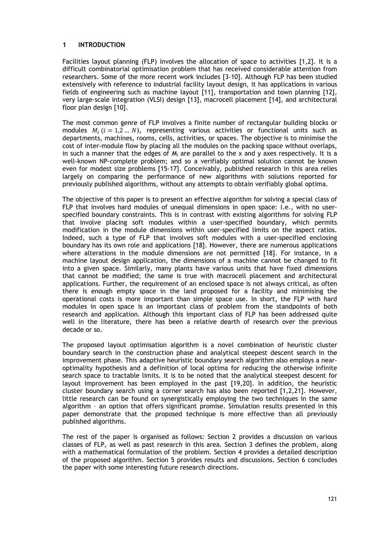# **1 INTRODUCTION**

Facilities layout planning (FLP) involves the allocation of space to activities [1,2]. It is a difficult combinatorial optimisation problem that has received considerable attention from researchers. Some of the more recent work includes [3-10]. Although FLP has been studied extensively with reference to industrial facility layout design, it has applications in various fields of engineering such as machine layout [11], transportation and town planning [12], very large-scale integration (VLSI) design [13], macrocell placement [14], and architectural floor plan design [10].

The most common genre of FLP involves a finite number of rectangular building blocks or modules  $M_i$  ( $i = 1,2,... N$ ), representing various activities or functional units such as departments, machines, rooms, cells, activities, or spaces. The objective is to minimise the cost of inter-module flow by placing all the modules on the packing space without overlaps, in such a manner that the edges of *Mi* are parallel to the x and y axes respectively. It is a well-known NP-complete problem; and so a verifiably optimal solution cannot be known even for modest size problems [15-17]. Conceivably, published research in this area relies largely on comparing the performance of new algorithms with solutions reported for previously published algorithms, without any attempts to obtain verifiably global optima.

The objective of this paper is to present an effective algorithm for solving a special class of FLP that involves hard modules of unequal dimensions in open space: i.e., with no userspecified boundary constraints. This is in contrast with existing algorithms for solving FLP that involve placing soft modules within a user-specified boundary, which permits modification in the module dimensions within user-specified limits on the aspect ratios. Indeed, such a type of FLP that involves soft modules with a user-specified enclosing boundary has its own role and applications [18]. However, there are numerous applications where alterations in the module dimensions are not permitted [18]. For instance, in a machine layout design application, the dimensions of a machine cannot be changed to fit into a given space. Similarly, many plants have various units that have fixed dimensions that cannot be modified; the same is true with macrocell placement and architectural applications. Further, the requirement of an enclosed space is not always critical, as often there is enough empty space in the land proposed for a facility and minimising the operational costs is more important than simple space use. In short, the FLP with hard modules in open space is an important class of problem from the standpoints of both research and application. Although this important class of FLP has been addressed quite well in the literature, there has been a relative dearth of research over the previous decade or so.

The proposed layout optimisation algorithm is a novel combination of heuristic cluster boundary search in the construction phase and analytical steepest descent search in the improvement phase. This adaptive heuristic boundary search algorithm also employs a nearoptimality hypothesis and a definition of local optima for reducing the otherwise infinite search space to tractable limits. It is to be noted that the analytical steepest descent for layout improvement has been employed in the past [19,20]. In addition, the heuristic cluster boundary search using a corner search has also been reported [1,2,21]. However, little research can be found on synergistically employing the two techniques in the same algorithm – an option that offers significant promise. Simulation results presented in this paper demonstrate that the proposed technique is more effective than all previously published algorithms.

The rest of the paper is organised as follows: Section 2 provides a discussion on various classes of FLP, as well as past research in this area. Section 3 defines the problem, along with a mathematical formulation of the problem. Section 4 provides a detailed description of the proposed algorithm. Section 5 provides results and discussions. Section 6 concludes the paper with some interesting future research directions.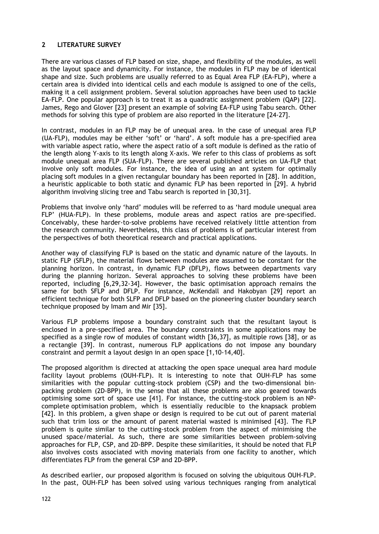## **2 LITERATURE SURVEY**

There are various classes of FLP based on size, shape, and flexibility of the modules, as well as the layout space and dynamicity. For instance, the modules in FLP may be of identical shape and size. Such problems are usually referred to as Equal Area FLP (EA-FLP), where a certain area is divided into identical cells and each module is assigned to one of the cells, making it a cell assignment problem. Several solution approaches have been used to tackle EA-FLP. One popular approach is to treat it as a quadratic assignment problem (QAP) [22]. James, Rego and Glover [23] present an example of solving EA-FLP using Tabu search. Other methods for solving this type of problem are also reported in the literature [24-27].

In contrast, modules in an FLP may be of unequal area. In the case of unequal area FLP (UA-FLP), modules may be either 'soft' or 'hard'. A soft module has a pre-specified area with variable aspect ratio, where the aspect ratio of a soft module is defined as the ratio of the length along Y-axis to its length along X-axis. We refer to this class of problems as soft module unequal area FLP (SUA-FLP). There are several published articles on UA-FLP that involve only soft modules. For instance, the idea of using an ant system for optimally placing soft modules in a given rectangular boundary has been reported in [28]. In addition, a heuristic applicable to both static and dynamic FLP has been reported in [29]. A hybrid algorithm involving slicing tree and Tabu search is reported in [30,31].

Problems that involve only 'hard' modules will be referred to as 'hard module unequal area FLP' (HUA-FLP). In these problems, module areas and aspect ratios are pre-specified. Conceivably, these harder-to-solve problems have received relatively little attention from the research community. Nevertheless, this class of problems is of particular interest from the perspectives of both theoretical research and practical applications.

Another way of classifying FLP is based on the static and dynamic nature of the layouts. In static FLP (SFLP), the material flows between modules are assumed to be constant for the planning horizon. In contrast, in dynamic FLP (DFLP), flows between departments vary during the planning horizon. Several approaches to solving these problems have been reported, including [6,29,32-34]. However, the basic optimisation approach remains the same for both SFLP and DFLP. For instance, McKendall and Hakobyan [29] report an efficient technique for both SLFP and DFLP based on the pioneering cluster boundary search technique proposed by Imam and Mir [35].

Various FLP problems impose a boundary constraint such that the resultant layout is enclosed in a pre-specified area. The boundary constraints in some applications may be specified as a single row of modules of constant width [36,37], as multiple rows [38], or as a rectangle [39]. In contrast, numerous FLP applications do not impose any boundary constraint and permit a layout design in an open space [1,10-14,40].

The proposed algorithm is directed at attacking the open space unequal area hard module facility layout problems (OUH-FLP). It is interesting to note that OUH-FLP has some similarities with the popular cutting-stock problem (CSP) and the two-dimensional binpacking problem (2D-BPP), in the sense that all these problems are also geared towards optimising some sort of space use [41]. For instance, the cutting-stock problem is an NPcomplete optimisation problem, which is essentially reducible to the knapsack problem [42]. In this problem, a given shape or design is required to be cut out of parent material such that trim loss or the amount of parent material wasted is minimised [43]. The FLP problem is quite similar to the cutting-stock problem from the aspect of minimising the unused space/material. As such, there are some similarities between problem-solving approaches for FLP, CSP, and 2D-BPP. Despite these similarities, it should be noted that FLP also involves costs associated with moving materials from one facility to another, which differentiates FLP from the general CSP and 2D-BPP.

As described earlier, our proposed algorithm is focused on solving the ubiquitous OUH-FLP. In the past, OUH-FLP has been solved using various techniques ranging from analytical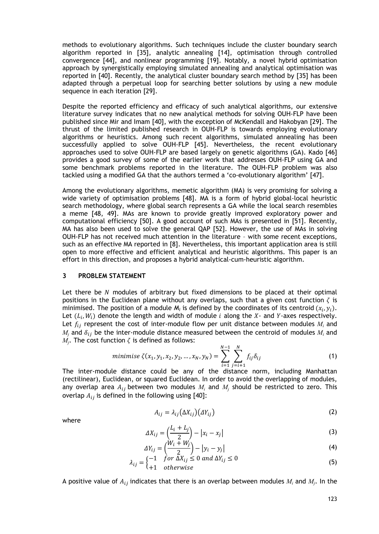methods to evolutionary algorithms. Such techniques include the cluster boundary search algorithm reported in [35], analytic annealing [14], optimisation through controlled convergence [44], and nonlinear programming [19]. Notably, a novel hybrid optimisation approach by synergistically employing simulated annealing and analytical optimisation was reported in [40]. Recently, the analytical cluster boundary search method by [35] has been adapted through a perpetual loop for searching better solutions by using a new module sequence in each iteration [29].

Despite the reported efficiency and efficacy of such analytical algorithms, our extensive literature survey indicates that no new analytical methods for solving OUH-FLP have been published since Mir and Imam [40], with the exception of McKendall and Hakobyan [29]. The thrust of the limited published research in OUH-FLP is towards employing evolutionary algorithms or heuristics. Among such recent algorithms, simulated annealing has been successfully applied to solve OUH-FLP [45]. Nevertheless, the recent evolutionary approaches used to solve OUH-FLP are based largely on genetic algorithms (GA). Kado [46] provides a good survey of some of the earlier work that addresses OUH-FLP using GA and some benchmark problems reported in the literature. The OUH-FLP problem was also tackled using a modified GA that the authors termed a 'co-evolutionary algorithm' [47].

Among the evolutionary algorithms, memetic algorithm (MA) is very promising for solving a wide variety of optimisation problems [48]. MA is a form of hybrid global-local heuristic search methodology, where global search represents a GA while the local search resembles a meme [48, 49]. MAs are known to provide greatly improved exploratory power and computational efficiency [50]. A good account of such MAs is presented in [51]. Recently, MA has also been used to solve the general QAP [52]. However, the use of MAs in solving OUH-FLP has not received much attention in the literature – with some recent exceptions, such as an effective MA reported in [8]. Nevertheless, this important application area is still open to more effective and efficient analytical and heuristic algorithms. This paper is an effort in this direction, and proposes a hybrid analytical-cum-heuristic algorithm.

#### **3 PROBLEM STATEMENT**

Let there be  $N$  modules of arbitrary but fixed dimensions to be placed at their optimal positions in the Euclidean plane without any overlaps, such that a given cost function  $\zeta$  is minimised. The position of a module  $M_i$  is defined by the coordinates of its centroid  $(x_i, y_i)$ . Let  $(L_i, W_i)$  denote the length and width of module i along the X- and Y-axes respectively. Let  $f_{ij}$  represent the cost of inter-module flow per unit distance between modules  $M_i$  and  $M_j$  and  $\delta_{ij}$  be the inter-module distance measured between the centroid of modules  $M_i$  and  $M_i$ . The cost function  $\zeta$  is defined as follows:

minimize 
$$
\zeta(x_1, y_1, x_2, y_2, ..., x_N, y_N) = \sum_{i=1}^{N-1} \sum_{j=i+1}^{N} f_{ij} \delta_{ij}
$$
 (1)

The inter-module distance could be any of the distance norm, including Manhattan (rectilinear), Euclidean, or squared Euclidean. In order to avoid the overlapping of modules, any overlap area  $A_{ij}$  between two modules  $M_i$  and  $M_j$  should be restricted to zero. This overlap  $A_{ij}$  is defined in the following using [40]:

where

$$
A_{ij} = \lambda_{ij} (\Delta X_{ij}) (\Delta Y_{ij})
$$
 (2)

$$
\Delta X_{ij} = \left(\frac{L_i + L_j}{2}\right) - |x_i - x_j| \tag{3}
$$

$$
\Delta Y_{ij} = \left(\frac{W_i + W_j}{2}\right) - |y_i - y_j| \tag{4}
$$

$$
\lambda_{ij} = \begin{cases}\n-1 & \text{for } \Delta X_{ij} \le 0 \text{ and } \Delta Y_{ij} \le 0 \\
+1 & \text{otherwise}\n\end{cases}
$$
\n(5)

A positive value of  $A_{ij}$  indicates that there is an overlap between modules  $M_i$  and  $M_i$ . In the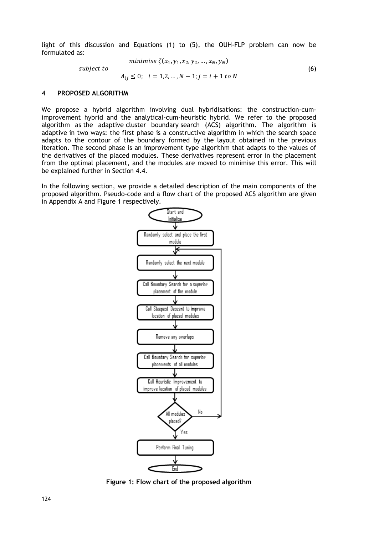light of this discussion and Equations (1) to (5), the OUH-FLP problem can now be formulated as:

minimise 
$$
\zeta(x_1, y_1, x_2, y_2, ..., x_N, y_N)
$$
  
subject to  
 $A_{ij} \le 0; \quad i = 1, 2, ..., N - 1; j = i + 1 \text{ to } N$  (6)

#### **4 PROPOSED ALGORITHM**

We propose a hybrid algorithm involving dual hybridisations: the construction-cumimprovement hybrid and the analytical-cum-heuristic hybrid. We refer to the proposed algorithm as the adaptive cluster boundary search (ACS) algorithm. The algorithm is adaptive in two ways: the first phase is a constructive algorithm in which the search space adapts to the contour of the boundary formed by the layout obtained in the previous iteration. The second phase is an improvement type algorithm that adapts to the values of the derivatives of the placed modules. These derivatives represent error in the placement from the optimal placement, and the modules are moved to minimise this error. This will be explained further in Section 4.4.

In the following section, we provide a detailed description of the main components of the proposed algorithm. Pseudo-code and a flow chart of the proposed ACS algorithm are given in Appendix A and Figure 1 respectively.



**Figure 1: Flow chart of the proposed algorithm**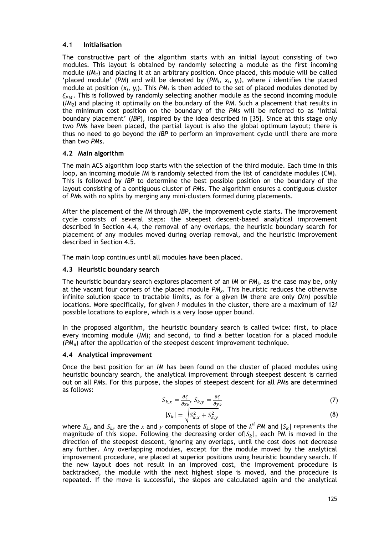## **4.1 Initialisation**

The constructive part of the algorithm starts with an initial layout consisting of two modules. This layout is obtained by randomly selecting a module as the first incoming module (*IM1*) and placing it at an arbitrary position. Once placed, this module will be called 'placed module' (PM) and will be denoted by  $(PM_i, x_i, y_i)$ , where *i* identifies the placed module at position  $(x_i, y_i)$ . This  $PM_i$  is then added to the set of placed modules denoted by  $\xi_{PM}$ . This is followed by randomly selecting another module as the second incoming module (*IM2*) and placing it optimally on the boundary of the *PM*. Such a placement that results in the minimum cost position on the boundary of the *PMs* will be referred to as 'initial boundary placement' (*IBP*), inspired by the idea described in [35]. Since at this stage only two *PM*s have been placed, the partial layout is also the global optimum layout; there is thus no need to go beyond the *IBP* to perform an improvement cycle until there are more than two *PM*s.

# **4.2 Main algorithm**

The main ACS algorithm loop starts with the selection of the third module. Each time in this loop, an incoming module *IM* is randomly selected from the list of candidate modules (CM). This is followed by *IBP* to determine the best possible position on the boundary of the layout consisting of a contiguous cluster of *PM*s. The algorithm ensures a contiguous cluster of *PM*s with no splits by merging any mini-clusters formed during placements.

After the placement of the *IM* through *IBP*, the improvement cycle starts. The improvement cycle consists of several steps: the steepest descent-based analytical improvement described in Section 4.4, the removal of any overlaps, the heuristic boundary search for placement of any modules moved during overlap removal, and the heuristic improvement described in Section 4.5.

The main loop continues until all modules have been placed.

# **4.3 Heuristic boundary search**

The heuristic boundary search explores placement of an *IM* or *PMj*, as the case may be, only at the vacant four corners of the placed module *PMχ*. This heuristic reduces the otherwise infinite solution space to tractable limits, as for a given IM there are only *O(n)* possible locations. More specifically, for given *i* modules in the cluster, there are a maximum of 12*i* possible locations to explore, which is a very loose upper bound.

In the proposed algorithm, the heuristic boundary search is called twice: first, to place every incoming module (*IM*); and second, to find a better location for a placed module (*PMπ*) after the application of the steepest descent improvement technique.

### **4.4 Analytical improvement**

Once the best position for an *IM* has been found on the cluster of placed modules using heuristic boundary search, the analytical improvement through steepest descent is carried out on all *PM*s. For this purpose, the slopes of steepest descent for all *PM*s are determined as follows:

$$
S_{k,x} = \frac{\partial \zeta}{\partial x_k}, \ S_{k,y} = \frac{\partial \zeta}{\partial y_k} \tag{7}
$$

$$
|S_k| = \sqrt{S_{k,x}^2 + S_{k,y}^2}
$$
 (8)

where  $S_{k,x}$  and  $S_{k,y}$  are the *x* and *y* components of slope of the  $k^h$  *PM* and  $|S_k|$  represents the magnitude of this slope. Following the decreasing order of  $|S_k|$ , each PM is moved in the direction of the steepest descent, ignoring any overlaps, until the cost does not decrease any further. Any overlapping modules, except for the module moved by the analytical improvement procedure, are placed at superior positions using heuristic boundary search. If the new layout does not result in an improved cost, the improvement procedure is backtracked, the module with the next highest slope is moved, and the procedure is repeated. If the move is successful, the slopes are calculated again and the analytical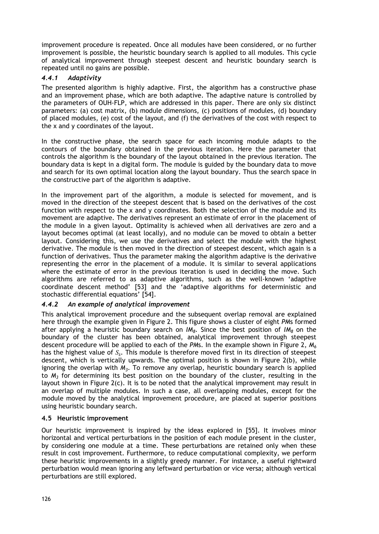improvement procedure is repeated. Once all modules have been considered, or no further improvement is possible, the heuristic boundary search is applied to all modules. This cycle of analytical improvement through steepest descent and heuristic boundary search is repeated until no gains are possible.

# *4.4.1 Adaptivity*

The presented algorithm is highly adaptive. First, the algorithm has a constructive phase and an improvement phase, which are both adaptive. The adaptive nature is controlled by the parameters of OUH-FLP, which are addressed in this paper. There are only six distinct parameters: (a) cost matrix, (b) module dimensions, (c) positions of modules, (d) boundary of placed modules, (e) cost of the layout, and (f) the derivatives of the cost with respect to the x and y coordinates of the layout.

In the constructive phase, the search space for each incoming module adapts to the contours of the boundary obtained in the previous iteration. Here the parameter that controls the algorithm is the boundary of the layout obtained in the previous iteration. The boundary data is kept in a digital form. The module is guided by the boundary data to move and search for its own optimal location along the layout boundary. Thus the search space in the constructive part of the algorithm is adaptive.

In the improvement part of the algorithm, a module is selected for movement, and is moved in the direction of the steepest descent that is based on the derivatives of the cost function with respect to the x and y coordinates. Both the selection of the module and its movement are adaptive. The derivatives represent an estimate of error in the placement of the module in a given layout. Optimality is achieved when all derivatives are zero and a layout becomes optimal (at least locally), and no module can be moved to obtain a better layout. Considering this, we use the derivatives and select the module with the highest derivative. The module is then moved in the direction of steepest descent, which again is a function of derivatives. Thus the parameter making the algorithm adaptive is the derivative representing the error in the placement of a module. It is similar to several applications where the estimate of error in the previous iteration is used in deciding the move. Such algorithms are referred to as adaptive algorithms, such as the well-known 'adaptive coordinate descent method' [53] and the 'adaptive algorithms for deterministic and stochastic differential equations' [54].

# *4.4.2 An example of analytical improvement*

This analytical improvement procedure and the subsequent overlap removal are explained here through the example given in Figure 2. This figure shows a cluster of eight *PM*s formed after applying a heuristic boundary search on *IM8*. Since the best position of *IM8* on the boundary of the cluster has been obtained, analytical improvement through steepest descent procedure will be applied to each of the *PM*s. In the example shown in Figure 2, *M6* has the highest value of *Sk*. This module is therefore moved first in its direction of steepest descent, which is vertically upwards. The optimal position is shown in Figure 2(b), while ignoring the overlap with *M3*. To remove any overlap, heuristic boundary search is applied to  $M<sub>3</sub>$  for determining its best position on the boundary of the cluster, resulting in the layout shown in Figure 2(c). It is to be noted that the analytical improvement may result in an overlap of multiple modules. In such a case, all overlapping modules, except for the module moved by the analytical improvement procedure, are placed at superior positions using heuristic boundary search.

# **4.5 Heuristic improvement**

Our heuristic improvement is inspired by the ideas explored in [55]. It involves minor horizontal and vertical perturbations in the position of each module present in the cluster, by considering one module at a time. These perturbations are retained only when these result in cost improvement. Furthermore, to reduce computational complexity, we perform these heuristic improvements in a slightly greedy manner. For instance, a useful rightward perturbation would mean ignoring any leftward perturbation or vice versa; although vertical perturbations are still explored.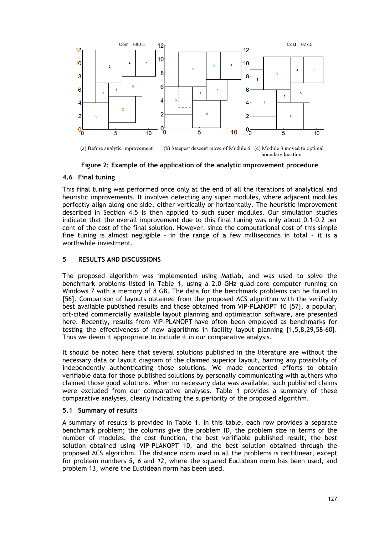

**Figure 2: Example of the application of the analytic improvement procedure**

## **4.6 Final tuning**

This final tuning was performed once only at the end of all the iterations of analytical and heuristic improvements. It involves detecting any super modules, where adjacent modules perfectly align along one side, either vertically or horizontally. The heuristic improvement described in Section 4.5 is then applied to such super modules. Our simulation studies indicate that the overall improvement due to this final tuning was only about 0.1–0.2 per cent of the cost of the final solution. However, since the computational cost of this simple fine tuning is almost negligible – in the range of a few milliseconds in total – it is a worthwhile investment.

# **5 RESULTS AND DISCUSSIONS**

The proposed algorithm was implemented using Matlab, and was used to solve the benchmark problems listed in Table 1, using a 2.0 GHz quad-core computer running on Windows 7 with a memory of 8 GB. The data for the benchmark problems can be found in [56]. Comparison of layouts obtained from the proposed ACS algorithm with the verifiably best available published results and those obtained from VIP-PLANOPT 10 [57], a popular, oft-cited commercially available layout planning and optimisation software, are presented here. Recently, results from VIP-PLANOPT have often been employed as benchmarks for testing the effectiveness of new algorithms in facility layout planning [1,5,8,29,58-60]. Thus we deem it appropriate to include it in our comparative analysis.

It should be noted here that several solutions published in the literature are without the necessary data or layout diagram of the claimed superior layout, barring any possibility of independently authenticating those solutions. We made concerted efforts to obtain verifiable data for those published solutions by personally communicating with authors who claimed those good solutions. When no necessary data was available, such published claims were excluded from our comparative analyses. Table 1 provides a summary of these comparative analyses, clearly indicating the superiority of the proposed algorithm.

### **5.1 Summary of results**

A summary of results is provided in Table 1. In this table, each row provides a separate benchmark problem; the columns give the problem ID, the problem size in terms of the number of modules, the cost function, the best verifiable published result, the best solution obtained using VIP-PLANOPT 10, and the best solution obtained through the proposed ACS algorithm. The distance norm used in all the problems is rectilinear, except for problem numbers *5*, *6* and *12*, where the squared Euclidean norm has been used, and problem 13, where the Euclidean norm has been used.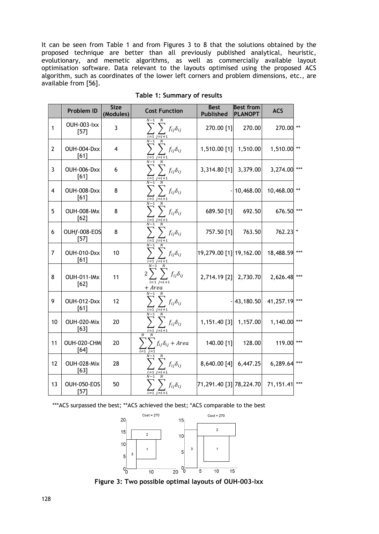It can be seen from Table 1 and from Figures 3 to 8 that the solutions obtained by the proposed technique are better than all previously published analytical, heuristic, evolutionary, and memetic algorithms, as well as commercially available layout optimisation software. Data relevant to the layouts optimised using the proposed ACS algorithm, such as coordinates of the lower left corners and problem dimensions, etc., are available from [56].

|                | Problem ID                   | <b>Size</b><br>(Modules) | <b>Cost Function</b>                                                                     | <b>Best</b><br><b>Published</b> | <b>Best from</b><br><b>PLANOPT</b> | <b>ACS</b>    |       |
|----------------|------------------------------|--------------------------|------------------------------------------------------------------------------------------|---------------------------------|------------------------------------|---------------|-------|
| $\mathbf{1}$   | <b>OUH-003-Ixx</b><br>$[57]$ | 3                        | $N-1$<br>N<br>$f_{ij}\delta_{ij}$                                                        | 270.00 [1]                      | 270.00                             | 270.00 **     |       |
| $\overline{2}$ | OUH-004-Dxx<br>[61]          | $\overline{4}$           | $N-1$<br>$f_{ij}\delta_{ij}$                                                             | 1,510.00 [1]                    | 1,510.00                           | 1,510.00 **   |       |
| 3              | <b>OUH-006-Dxx</b><br>[61]   | 6                        | $N-1$<br>N<br>$f_{ij}\delta_{ij}$                                                        | $3,314.80$ [1]                  | 3,379.00                           | 3,274.00      | $***$ |
| 4              | OUH-008-Dxx<br>[61]          | 8                        | $f_{ij}\delta_{ij}$                                                                      |                                 | 10,468.00                          | 10,468.00 **  |       |
| 5              | <b>OUH-008-IMx</b><br>[62]   | 8                        | $N-1$<br>$f_{ij}\delta_{ij}$<br>$i=i+1$                                                  | 689.50 [1]                      | 692.50                             | 676.50        | $***$ |
| 6              | OUHf-008-EOS<br>$[57]$       | 8                        | $N-1$<br>$\overline{N}$<br>$f_{ij}\delta_{ij}$                                           | 757.50 [1]                      | 763.50                             | 762.23 *      |       |
| $\overline{7}$ | OUH-010-Dxx<br>[61]          | 10                       | $f_{ij}\delta_{ij}$                                                                      | 19,279.00 [1] 19,162.00         |                                    | 18,488.59     |       |
| 8              | <b>OUH-011-IMx</b><br>[62]   | 11                       | $\overline{2}$<br>$f_{ij}\delta_{ij}$<br>$\overline{i=1}$ $\overline{i=i+1}$<br>$+ Area$ | 2,714.19 [2]                    | 2,730.70                           | 2,626.48 ***  |       |
| 9              | OUH-012-Dxx<br>[61]          | 12                       | $N-1$<br>$f_{ij}\delta_{ij}$<br>$i = i + 1$                                              |                                 | 43,180.50                          | 41,257.19 *** |       |
| 10             | OUH-020-Mix<br>[63]          | 20                       | $f_{ij}\delta_{ij}$<br>$i = 1$                                                           | 1,151.40 [3]                    | 1,157.00                           | 1,140.00 ***  |       |
| 11             | OUH-020-CHM<br>[64]          | 20                       | $f_{ij}\delta_{ij}$ + Area                                                               | 140.00 [1]                      | 128.00                             | 119.00 ***    |       |
| 12             | OUH-028-Mix<br>$[63]$        | 28                       | $N-1$<br>$f_{ij}\delta_{ij}$                                                             | 8,640.00 [4]                    | 6,447.25                           | 6,289.64 ***  |       |
| 13             | <b>OUH-050-EOS</b><br>$[57]$ | 50                       | $f_{ij}\delta_{ij}$                                                                      | 71,291.40 [3] 78,224.70         |                                    | 71,151.41     | $***$ |

**Table 1: Summary of results**

\*\*\* ACS surpassed the best; \*\* ACS achieved the best; \* ACS comparable to the best



**Figure 3: Two possible optimal layouts of OUH-003-Ixx**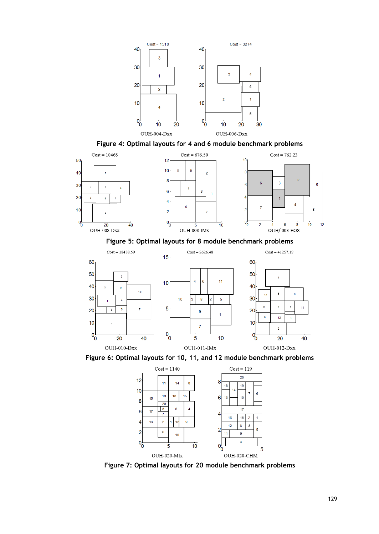





**Figure 7: Optimal layouts for 20 module benchmark problems**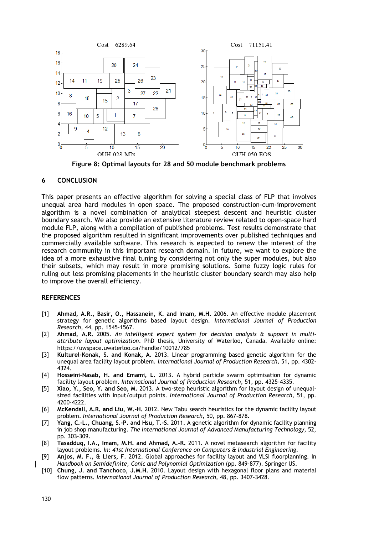

**Figure 8: Optimal layouts for 28 and 50 module benchmark problems** 

### **6 CONCLUSION**

This paper presents an effective algorithm for solving a special class of FLP that involves unequal area hard modules in open space. The proposed construction-cum-improvement algorithm is a novel combination of analytical steepest descent and heuristic cluster boundary search. We also provide an extensive literature review related to open-space hard module FLP, along with a compilation of published problems. Test results demonstrate that the proposed algorithm resulted in significant improvements over published techniques and commercially available software. This research is expected to renew the interest of the research community in this important research domain. In future, we want to explore the idea of a more exhaustive final tuning by considering not only the super modules, but also their subsets, which may result in more promising solutions. Some fuzzy logic rules for ruling out less promising placements in the heuristic cluster boundary search may also help to improve the overall efficiency.

### **REFERENCES**

- [1] **Ahmad, A.R., Basir, O., Hassanein, K. and Imam, M.H.** 2006. An effective module placement strategy for genetic algorithms based layout design. *International Journal of Production Research,* 44, pp. 1545-1567.
- [2] **Ahmad, A.R.** 2005. *An intelligent expert system for decision analysis & support in multiattribute layout optimization*. PhD thesis, University of Waterloo, Canada. Available online: https://uwspace.uwaterloo.ca/handle/10012/785
- [3] **Kulturel-Konak, S. and Konak, A.** 2013. Linear programming based genetic algorithm for the unequal area facility layout problem. *International Journal of Production Research,* 51, pp. 4302- 4324.
- [4] **Hosseini-Nasab, H. and Emami, L.** 2013. A hybrid particle swarm optimisation for dynamic facility layout problem. *International Journal of Production Research,* 51, pp. 4325-4335.
- [5] **Xiao, Y., Seo, Y. and Seo, M.** 2013. A two-step heuristic algorithm for layout design of unequalsized facilities with input/output points. *International Journal of Production Research,* 51, pp. 4200-4222.
- [6] **McKendall, A.R. and Liu, W.-H.** 2012. New Tabu search heuristics for the dynamic facility layout problem. *International Journal of Production Research,* 50, pp. 867-878.
- [7] **Yang, C.-L., Chuang, S.-P. and Hsu, T.-S.** 2011. A genetic algorithm for dynamic facility planning in job shop manufacturing. *The International Journal of Advanced Manufacturing Technology,* 52, pp. 303-309.
- [8] **Tasadduq, I.A., Imam, M.H. and Ahmad, A.-R.** 2011. A novel metasearch algorithm for facility layout problems. *In: 41st International Conference on Computers & Industrial Engineering*.
- [9] **Anjos, M. F., & Liers, F**. 2012. Global approaches for facility layout and VLSI floorplanning. In *Handbook on Semidefinite, Conic and Polynomial Optimization* (pp. 849-877). Springer US.
- [10] **Chung, J. and Tanchoco, J.M.H.** 2010. Layout design with hexagonal floor plans and material flow patterns. *International Journal of Production Research,* 48, pp. 3407-3428.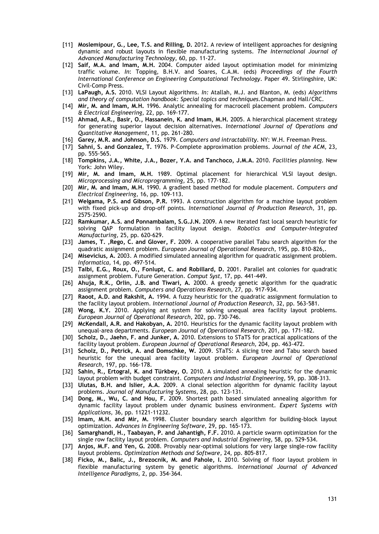- [11] **Moslemipour, G., Lee, T.S. and Rilling, D.** 2012. A review of intelligent approaches for designing dynamic and robust layouts in flexible manufacturing systems. *The International Journal of Advanced Manufacturing Technology,* 60, pp. 11-27.
- [12] **Saif, M.A. and Imam, M.H.** 2004. Computer aided layout optimisation model for minimizing traffic volume. *In*: Topping, B.H.V. and Soares, C.A.M. (eds) *Proceedings of the Fourth International Conference on Engineering Computational Technology*. Paper 49. Stirlingshire, UK: Civil-Comp Press.
- [13] **LaPaugh, A.S.** 2010. VLSI Layout Algorithms. *In:* Atallah, M.J. and Blanton, M. (eds) *Algorithms and theory of computation handbook: Special topics and techniques.*Chapman and Hall/CRC.
- [14] **Mir, M. and Imam, M.H.** 1996. Analytic annealing for macrocell placement problem. *Computers & Electrical Engineering,* 22, pp. 169-177.
- [15] **Ahmad, A.R., Basir, O., Hassanein, K. and Imam, M.H.** 2005. A hierarchical placement strategy for generating superior layout decision alternatives. *International Journal of Operations and Quantitative Management,* 11, pp. 261-280.
- [16] **Garey, M.R. and Johnson, D.S.** 1979. *Computers and intractability*. NY: W.H. Freeman Press.
- [17] **Sahni, S. and Gonzalez, T.** 1976. P-Complete approximation problems. *Journal of the ACM,* 23, pp. 555-565.
- [18] **Tompkins, J.A., White, J.A., Bozer, Y.A. and Tanchoco, J.M.A.** 2010. *Facilities planning*. New York: John Wiley.
- [19] **Mir, M. and Imam, M.H.** 1989. Optimal placement for hierarchical VLSI layout design. *Microprocessing and Microprogramming,* 25, pp. 177-182.
- [20] **Mir, M. and Imam, M.H.** 1990. A gradient based method for module placement. *Computers and Electrical Engineering,* 16, pp. 109-113.
- [21] **Welgama, P.S. and Gibson, P.R.** 1993. A construction algorithm for a machine layout problem with fixed pick-up and drop-off points. *International Journal of Production Research,* 31, pp. 2575-2590.
- [22] **Ramkumar, A.S. and Ponnambalam, S.G.J.N.** 2009. A new iterated fast local search heuristic for solving QAP formulation in facility layout design. *Robotics and Computer-Integrated Manufacturing,* 25, pp. 620-629.
- [23] **James, T. ,Rego, C. and Glover, F.** 2009. A cooperative parallel Tabu search algorithm for the quadratic assignment problem. *European Journal of Operational Research,* 195, pp. 810-826,.
- [24] **Misevicius, A.** 2003. A modified simulated annealing algorithm for quadratic assignment problem. *Informatica,* 14, pp. 497-514.
- [25] **Talbi, E.G., Roux, O., Fonlupt, C. and Robillard, D.** 2001. Parallel ant colonies for quadratic assignment problem. Future Generation. *Comput Syst,* 17, pp. 441-449.
- [26] **Ahuja, R.K., Orlin, J.B. and Tiwari, A.** 2000. A greedy genetic algorithm for the quadratic assignment problem. *Computers and Operations Research,* 27, pp. 917-934.
- [27] **Raoot, A.D. and Rakshit, A.** 1994. A fuzzy heuristic for the quadratic assignment formulation to the facility layout problem. *International Journal of Production Research,* 32, pp. 563-581.
- [28] **Wong, K.Y.** 2010. Applying ant system for solving unequal area facility layout problems. *European Journal of Operational Research,* 202, pp. 730-746.
- [29] **McKendall, A.R. and Hakobyan, A.** 2010. Heuristics for the dynamic facility layout problem with unequal-area departments. *European Journal of Operational Research,* 201, pp. 171-182.
- [30] **Scholz, D., Jaehn, F. and Junker, A.** 2010. Extensions to STaTS for practical applications of the facility layout problem. *European Journal of Operational Research,* 204, pp. 463-472.
- [31] **Scholz, D., Petrick, A. and Domschke, W.** 2009. STaTS: A slicing tree and Tabu search based heuristic for the unequal area facility layout problem. *European Journal of Operational Research,* 197, pp. 166-178.
- [32] **Sahin, R., Ertogral, K. and Türkbey, O.** 2010. A simulated annealing heuristic for the dynamic layout problem with budget constraint. *Computers and Industrial Engineering,* 59, pp. 308-313.
- [33] **Ulutas, B.H. and Islier, A.A.** 2009. A clonal selection algorithm for dynamic facility layout problems. *Journal of Manufacturing Systems,* 28, pp. 123-131.
- [34] **Dong, M., Wu, C. and Hou, F.** 2009. Shortest path based simulated annealing algorithm for dynamic facility layout problem under dynamic business environment. *Expert Systems with Applications,* 36, pp. 11221-11232.
- [35] **Imam, M.H. and Mir, M.** 1998. Cluster boundary search algorithm for building-block layout optimization. *Advances in Engineering Software,* 29, pp. 165-173.
- [36] **Samarghandi, H., Taabayan, P. and Jahantigh, F.F.** 2010. A particle swarm optimization for the single row facility layout problem. *Computers and Industrial Engineering,* 58, pp. 529-534.
- [37] **Anjos, M.F. and Yen, G.** 2008. Provably near-optimal solutions for very large single-row facility layout problems. *Optimization Methods and Software,* 24, pp. 805-817.
- [38] **Ficko, M., Balic, J., Brezocnik, M. and Pahole, I.** 2010. Solving of floor layout problem in flexible manufacturing system by genetic algorithms. *International Journal of Advanced Intelligence Paradigms,* 2, pp. 354-364.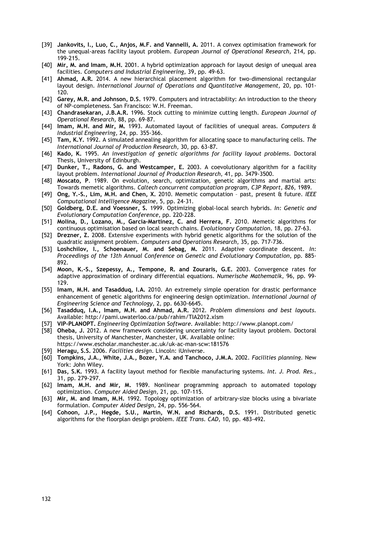- [39] **Jankovits, I., Luo, C., Anjos, M.F. and Vannelli, A.** 2011. A convex optimisation framework for the unequal-areas facility layout problem. *European Journal of Operational Research,* 214, pp. 199-215.
- [40] **Mir, M. and Imam, M.H.** 2001. A hybrid optimization approach for layout design of unequal area facilities. *Computers and Industrial Engineering,* 39, pp. 49-63.
- [41] **Ahmad, A.R.** 2014. A new hierarchical placement algorithm for two-dimensional rectangular layout design. *International Journal of Operations and Quantitative Management,* 20, pp. 101- 120.
- [42] **Garey, M.R. and Johnson, D.S.** 1979. Computers and intractability: An introduction to the theory of NP-completeness. San Francisco: W.H. Freeman.
- [43] **Chandrasekaran, J.B.A.R.** 1996. Stock cutting to minimize cutting length. *European Journal of Operational Research,* 88, pp. 69-87.
- [44] **Imam, M.H. and Mir, M.** 1993. Automated layout of facilities of unequal areas. *Computers & Industrial Engineering,* 24, pp. 355-366.
- [45] **Tam, K.Y.** 1992. A simulated annealing algorithm for allocating space to manufacturing cells. *The International Journal of Production Research,* 30, pp. 63-87.
- [46] **Kado, K.** 1995. *An investigation of genetic algorithms for facility layout problems*. Doctoral Thesis, University of Edinburgh.
- [47] **Dunker, T., Radons, G. and Westcamper, E.** 2003. A coevolutionary algorithm for a facility layout problem. *International Journal of Production Research,* 41, pp. 3479-3500.
- [48] **Moscato, P**. 1989. On evolution, search, optimization, genetic algorithms and martial arts: Towards memetic algorithms. *Caltech concurrent computation program, C3P Report*, *826*, 1989.
- [49] **Ong, Y.-S., Lim, M.H. and Chen, X.** 2010. Memetic computation past, present & future. *IEEE Computational Intelligence Magazine,* 5, pp. 24-31.
- [50] **Goldberg, D.E. and Voessner, S.** 1999. Optimizing global-local search hybrids. *In: Genetic and Evolutionary Computation Conference*, pp. 220-228.
- [51] **Molina, D., Lozano, M., Garcia-Martinez, C. and Herrera, F.** 2010. Memetic algorithms for continuous optimisation based on local search chains. *Evolutionary Computation,* 18, pp. 27-63.
- [52] **Drezner, Z.** 2008. Extensive experiments with hybrid genetic algorithms for the solution of the quadratic assignment problem. *Computers and Operations Research,* 35, pp. 717-736.
- [53] **Loshchilov, I., Schoenauer, M. and Sebag, M.** 2011. Adaptive coordinate descent. *In: Proceedings of the 13th Annual Conference on Genetic and Evolutionary Computation*, pp. 885- 892.
- [54] **Moon, K.-S., Szepessy, A., Tempone, R. and Zouraris, G.E.** 2003. Convergence rates for adaptive approximation of ordinary differential equations. *Numerische Mathematik,* 96, pp. 99- 129.
- [55] **Imam, M.H. and Tasadduq, I.A.** 2010. An extremely simple operation for drastic performance enhancement of genetic algorithms for engineering design optimization. *International Journal of Engineering Science and Technology,* 2, pp. 6630-6645.
- [56] **Tasadduq, I.A., Imam, M.H. and Ahmad, A.R.** 2012. *Problem dimensions and best layouts*. Available: http://pami.uwaterloo.ca/pub/rahim/TIA2012.xlsm
- [57] **VIP-PLANOPT.** *Engineering Optimization Software*. Available: http://www.planopt.com/
- [58] **Oheba, J.** 2012. A new framework considering uncertainty for facility layout problem. Doctoral thesis, University of Manchester, Manchester, UK. Available online: https://www.escholar.manchester.ac.uk/uk-ac-man-scw:181576
- [59] **Heragu, S.S.** 2006. *Facilities design*. Lincoln: iUniverse.
- [60] **Tompkins, J.A., White, J.A., Bozer, Y.A. and Tanchoco, J.M.A.** 2002. *Facilities planning*. New York: John Wiley.
- [61] **Das, S.K.** 1993. A facility layout method for flexible manufacturing systems. *Int. J. Prod. Res.,*  31, pp. 279-297.
- [62] **Imam, M.H. and Mir, M.** 1989. Nonlinear programming approach to automated topology optimization. *Computer Aided Design,* 21, pp. 107-115.
- [63] **Mir, M. and Imam, M.H.** 1992. Topology optimization of arbitrary-size blocks using a bivariate formulation. *Computer Aided Design,* 24, pp. 556-564.
- [64] **Cohoon, J.P., Hegde, S.U., Martin, W.N. and Richards, D.S.** 1991. Distributed genetic algorithms for the floorplan design problem. *IEEE Trans. CAD,* 10, pp. 483-492.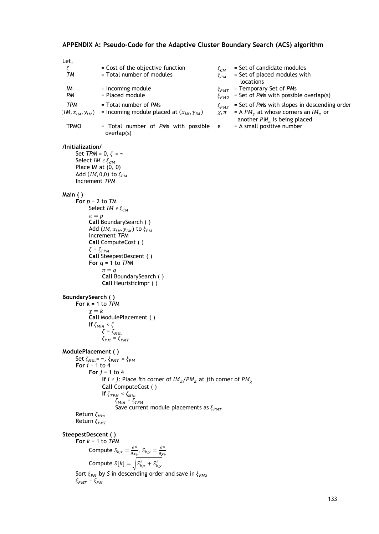### **APPENDIX A: Pseudo-Code for the Adaptive Cluster Boundary Search (ACS) algorithm**

Let,  $\zeta$  = Cost of the objective function  $\zeta_{CM}$  = Set of candidate modules<br>  $\zeta_{PM}$  = Total number of modules  $\zeta_{PM}$  = Set of placed modules wit = Set of placed modules with locations *IM* = Incoming module  $\zeta_{PMT}$  = Temporary Set of *PMs*<br>*PM* = Placed module  $\zeta_{NLO}$  = Set of *PMs* with possib  $\hat{\xi}_{PMO}$  = Set of *PMs* with possible overlap(s) *TPM* = Total number of *PM*s  $\xi_{PMS}$  = Set of *PMs* with slopes in descending order  $M$ ,  $x_{IM}$ ,  $y_{IM}$  = Incoming module placed at  $(x_{IM}, y_{IM})$   $x, \pi$  = A *PM<sub>x</sub>* at whose corners an  $IM_{\pi}$  or  $(IM, x_{IM}, y_{IM})$  = Incoming module placed at  $(x_{IM}, y_{IM})$ another  $PM_\pi$  is being placed TPMO  $=$  Total number of *PMs* with possible  $\varepsilon$ overlap(s) ε = A small positive number **/Initialization/** Set  $TPM = 0, \zeta = \infty$ Select *IM*  $\epsilon \xi_{CM}$ Place  $IM$  at  $(0, 0)$ Add  $(IM, 0, 0)$  to  $\xi_{PM}$ Increment *TPM* **Main ( ) For** *p* = 2 to *TM* Select *IM*  $\epsilon \xi_{CM}$  $\pi = p$ **Call** BoundarySearch ( ) Add  $(IM, x_{IM}, y_{IM})$  to  $\xi_{PM}$ Increment *TPM* **Call** ComputeCost ( )  $\zeta=\zeta_{TPM}$ **Call** SteepestDescent ( ) **For** *q* = 1 to *TPM*  $\pi = q$ **Call** BoundarySearch ( ) **Call** HeuristicImpr ( ) **BoundarySearch ( ) For** *k* = 1 to *TPM*  $\chi = k$ **Call** ModulePlacement ( ) **If**  $\zeta_{Min} < \zeta$  $\zeta = \zeta_{Min}$  $\xi_{PM} = \xi_{PMT}$ **ModulePlacement ( )** Set  $\zeta_{Min} = \infty$ ,  $\xi_{PMT} = \xi_{PM}$ For  $i = 1$  to  $4$ **For** *j* = 1 to 4 **If** *i* ≠ *j*: Place *i*th corner of  $IM_{\pi}/PM_{\pi}$  at *j*th corner of  $PM_{\pi}$ **Call** ComputeCost ( ) **If**  $\zeta_{TPM} < \zeta_{Min}$  $\zeta_{Min}=\zeta_{TPM}$ Save current module placements as  $\xi_{\text{PMT}}$ Return  $\zeta_{Min}$ Return  $\xi_{PMT}$ **SteepestDescent ( ) For** *k* = 1 to *TPM* Compute  $S_{k,x} = \frac{\partial^{\alpha}}{\partial x_k}$ ,  $S_{k,y} = \frac{\partial^{\alpha}}{\partial y_k}$ Compute  $S[k] = \sqrt{S_{k,x}^2 + S_{k,y}^2}$ Sort  $\xi_{PM}$  by *S* in descending order and save in  $\xi_{PMS}$  $\xi_{PMT} = \xi_{PM}$